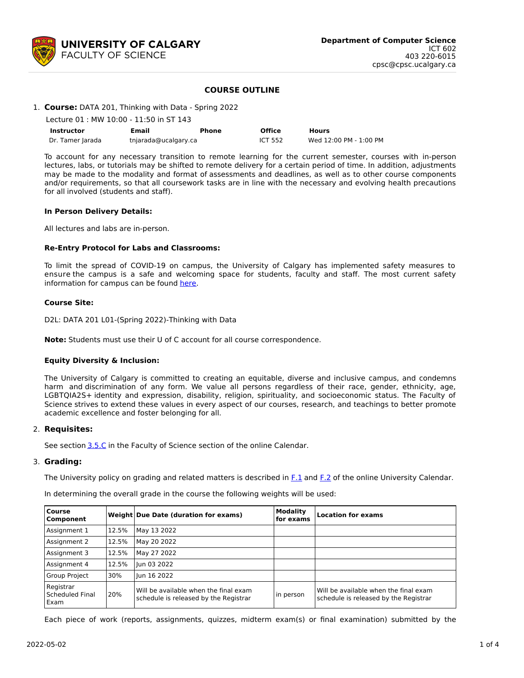

## **COURSE OUTLINE**

## 1. **Course:** DATA 201, Thinking with Data - Spring 2022

| Lecture 01 : MW 10:00 - 11:50 in ST 143 |                      |       |                |                        |  |  |  |  |
|-----------------------------------------|----------------------|-------|----------------|------------------------|--|--|--|--|
| Instructor                              | Email                | Phone | <b>Office</b>  | <b>Hours</b>           |  |  |  |  |
| Dr. Tamer Jarada                        | tnjarada@ucalgary.ca |       | <b>ICT 552</b> | Wed 12:00 PM - 1:00 PM |  |  |  |  |

To account for any necessary transition to remote learning for the current semester, courses with in-person lectures, labs, or tutorials may be shifted to remote delivery for a certain period of time. In addition, adjustments may be made to the modality and format of assessments and deadlines, as well as to other course components and/or requirements, so that all coursework tasks are in line with the necessary and evolving health precautions for all involved (students and staff).

#### **In Person Delivery Details:**

All lectures and labs are in-person.

#### **Re-Entry Protocol for Labs and Classrooms:**

To limit the spread of COVID-19 on campus, the University of Calgary has implemented safety measures to ensure the campus is a safe and welcoming space for students, faculty and staff. The most current safety information for campus can be found [here](https://www.ucalgary.ca/risk/emergency-management/covid-19-response/return-campus-safety).

#### **Course Site:**

D2L: DATA 201 L01-(Spring 2022)-Thinking with Data

**Note:** Students must use their U of C account for all course correspondence.

## **Equity Diversity & Inclusion:**

The University of Calgary is committed to creating an equitable, diverse and inclusive campus, and condemns harm and discrimination of any form. We value all persons regardless of their race, gender, ethnicity, age, LGBTQIA2S+ identity and expression, disability, religion, spirituality, and socioeconomic status. The Faculty of Science strives to extend these values in every aspect of our courses, research, and teachings to better promote academic excellence and foster belonging for all.

## 2. **Requisites:**

See section [3.5.C](http://www.ucalgary.ca/pubs/calendar/current/sc-3-5.html) in the Faculty of Science section of the online Calendar.

## 3. **Grading:**

The University policy on grading and related matters is described in [F.1](http://www.ucalgary.ca/pubs/calendar/current/f-1.html) and [F.2](http://www.ucalgary.ca/pubs/calendar/current/f-2.html) of the online University Calendar.

In determining the overall grade in the course the following weights will be used:

| <b>Course</b><br>Component           |       | Weight Due Date (duration for exams)                                           | <b>Modality</b><br>for exams | <b>Location for exams</b>                                                      |  |  |  |
|--------------------------------------|-------|--------------------------------------------------------------------------------|------------------------------|--------------------------------------------------------------------------------|--|--|--|
| Assignment 1                         | 12.5% | May 13 2022                                                                    |                              |                                                                                |  |  |  |
| Assignment 2                         | 12.5% | May 20 2022                                                                    |                              |                                                                                |  |  |  |
| Assignment 3                         | 12.5% | May 27 2022                                                                    |                              |                                                                                |  |  |  |
| Assignment 4                         | 12.5% | Jun 03 2022                                                                    |                              |                                                                                |  |  |  |
| <b>Group Project</b>                 | 30%   | lun 16 2022                                                                    |                              |                                                                                |  |  |  |
| Registrar<br>Scheduled Final<br>Exam | 20%   | Will be available when the final exam<br>schedule is released by the Registrar | in person                    | Will be available when the final exam<br>schedule is released by the Registrar |  |  |  |

Each piece of work (reports, assignments, quizzes, midterm exam(s) or final examination) submitted by the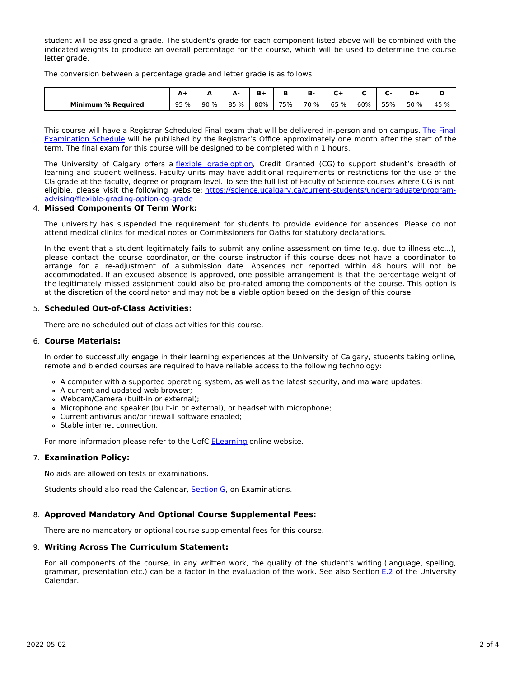student will be assigned a grade. The student's grade for each component listed above will be combined with the indicated weights to produce an overall percentage for the course, which will be used to determine the course letter grade.

The conversion between a percentage grade and letter grade is as follows.

|                           | $A+$ | -   | А-   | Ð   | ш   | в<br>B. | ∽    |     |     |      |      |
|---------------------------|------|-----|------|-----|-----|---------|------|-----|-----|------|------|
| <b>Minimum % Required</b> | 95 % | 90% | 85 % | 80% | 75% | 70 %    | 65 % | 60% | 55% | 50 % | 45 % |

This course will have a Registrar Scheduled Final exam that will be delivered in-person and on campus. The Final Examination Schedule will be published by the Registrar's Office [approximately](https://www.ucalgary.ca/registrar/exams) one month after the start of the term. The final exam for this course will be designed to be completed within 1 hours.

The University of Calgary offers a [flexible](https://www.ucalgary.ca/pubs/calendar/current/f-1-3.html) grade option, Credit Granted (CG) to support student's breadth of learning and student wellness. Faculty units may have additional requirements or restrictions for the use of the CG grade at the faculty, degree or program level. To see the full list of Faculty of Science courses where CG is not eligible, please visit the following website: [https://science.ucalgary.ca/current-students/undergraduate/program](https://science.ucalgary.ca/current-students/undergraduate/program-advising/flexible-grading-option-cg-grade)advising/flexible-grading-option-cg-grade

#### 4. **Missed Components Of Term Work:**

The university has suspended the requirement for students to provide evidence for absences. Please do not attend medical clinics for medical notes or Commissioners for Oaths for statutory declarations.

In the event that a student legitimately fails to submit any online assessment on time (e.g. due to illness etc...), please contact the course coordinator, or the course instructor if this course does not have a coordinator to arrange for a re-adjustment of a submission date. Absences not reported within 48 hours will not be accommodated. If an excused absence is approved, one possible arrangement is that the percentage weight of the legitimately missed assignment could also be pro-rated among the components of the course. This option is at the discretion of the coordinator and may not be a viable option based on the design of this course.

## 5. **Scheduled Out-of-Class Activities:**

There are no scheduled out of class activities for this course.

## 6. **Course Materials:**

In order to successfully engage in their learning experiences at the University of Calgary, students taking online, remote and blended courses are required to have reliable access to the following technology:

- A computer with a supported operating system, as well as the latest security, and malware updates;
- A current and updated web browser;
- Webcam/Camera (built-in or external);
- Microphone and speaker (built-in or external), or headset with microphone;
- Current antivirus and/or firewall software enabled;
- Stable internet connection.

For more information please refer to the UofC **[ELearning](https://elearn.ucalgary.ca/technology-requirements-for-students)** online website.

## 7. **Examination Policy:**

No aids are allowed on tests or examinations.

Students should also read the Calendar, **[Section](http://www.ucalgary.ca/pubs/calendar/current/g.html) G**, on Examinations.

## 8. **Approved Mandatory And Optional Course Supplemental Fees:**

There are no mandatory or optional course supplemental fees for this course.

#### 9. **Writing Across The Curriculum Statement:**

For all components of the course, in any written work, the quality of the student's writing (language, spelling, grammar, presentation etc.) can be a factor in the evaluation of the work. See also Section [E.2](http://www.ucalgary.ca/pubs/calendar/current/e-2.html) of the University Calendar.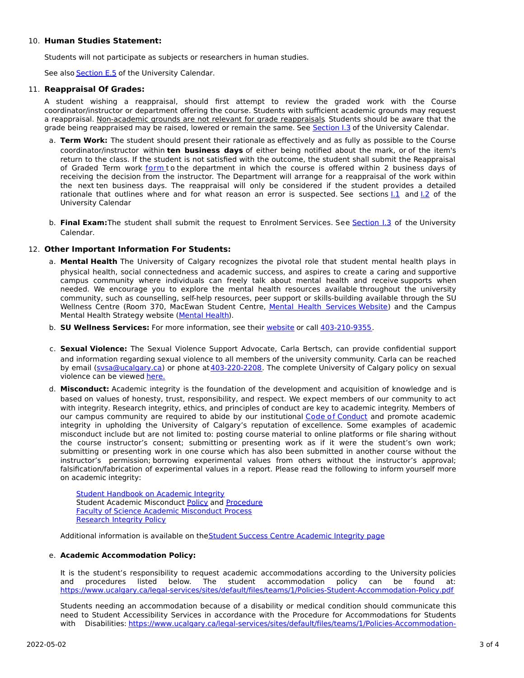## 10. **Human Studies Statement:**

Students will not participate as subjects or researchers in human studies.

See also **[Section](http://www.ucalgary.ca/pubs/calendar/current/e-5.html) E.5** of the University Calendar.

## 11. **Reappraisal Of Grades:**

A student wishing a reappraisal, should first attempt to review the graded work with the Course coordinator/instructor or department offering the course. Students with sufficient academic grounds may request a reappraisal. Non-academic grounds are not relevant for grade reappraisals. Students should be aware that the grade being reappraised may be raised, lowered or remain the same. See [Section](http://www.ucalgary.ca/pubs/calendar/current/i-3.html) I.3 of the University Calendar.

- a. **Term Work:** The student should present their rationale as effectively and as fully as possible to the Course coordinator/instructor within **ten business days** of either being notified about the mark, or of the item's return to the class. If the student is not satisfied with the outcome, the student shall submit the Reappraisal of Graded Term work [form](https://science.ucalgary.ca/sites/default/files/teams/1/Reappraisal_Termwork_2021.pdf) to the department in which the course is offered within 2 business days of receiving the decision from the instructor. The Department will arrange for a reappraisal of the work within the next ten business days. The reappraisal will only be considered if the student provides a detailed rationale that outlines where and for what reason an error is suspected. See sections  $1.1$  and  $1.2$  of the University Calendar
- b. **Final Exam:**The student shall submit the request to Enrolment Services. See [Section](http://www.ucalgary.ca/pubs/calendar/current/i-3.html) I.3 of the University Calendar.

# 12. **Other Important Information For Students:**

- a. **Mental Health** The University of Calgary recognizes the pivotal role that student mental health plays in physical health, social connectedness and academic success, and aspires to create a caring and supportive campus community where individuals can freely talk about mental health and receive supports when needed. We encourage you to explore the mental health resources available throughout the university community, such as counselling, self-help resources, peer support or skills-building available through the SU Wellness Centre (Room 370, MacEwan Student Centre, Mental Health [Services](https://www.ucalgary.ca/wellnesscentre/services/mental-health-services) Website) and the Campus Mental Health Strategy website [\(Mental](http://www.ucalgary.ca/mentalhealth) Health).
- b. **SU Wellness Services:** For more information, see their [website](http://www.ucalgary.ca/wellnesscentre) or call [403-210-9355](tel:4032109355).
- c. **Sexual Violence:** The Sexual Violence Support Advocate, Carla Bertsch, can provide confidential support and information regarding sexual violence to all members of the university community. Carla can be reached by email [\(svsa@ucalgary.ca](mailto:svsa@ucalgary.ca)) or phone at [403-220-2208](tel:4032202208). The complete University of Calgary policy on sexual violence can be viewed [here.](https://www.ucalgary.ca/legal-services/sites/default/files/teams/1/Policies-Sexual-and-Gender-Based-Violence-Policy.pdf)
- d. **Misconduct:** Academic integrity is the foundation of the development and acquisition of knowledge and is based on values of honesty, trust, responsibility, and respect. We expect members of our community to act with integrity. Research integrity, ethics, and principles of conduct are key to academic integrity. Members of our campus community are required to abide by our institutional Code of [Conduct](https://www.ucalgary.ca/legal-services/sites/default/files/teams/1/Policies-Code-of-Conduct.pdf) and promote academic integrity in upholding the University of Calgary's reputation of excellence. Some examples of academic misconduct include but are not limited to: posting course material to online platforms or file sharing without the course instructor's consent; submitting or presenting work as if it were the student's own work; submitting or presenting work in one course which has also been submitted in another course without the instructor's permission; borrowing experimental values from others without the instructor's approval; falsification/fabrication of experimental values in a report. Please read the following to inform yourself more on academic integrity:

Student [Handbook](https://www.ucalgary.ca/live-uc-ucalgary-site/sites/default/files/teams/9/AI-Student-handbook-1.pdf) on Academic Integrity Student Academic Misconduct [Policy](https://www.ucalgary.ca/legal-services/sites/default/files/teams/1/Policies-Student-Academic-Misconduct-Policy.pdf) and [Procedure](https://www.ucalgary.ca/legal-services/sites/default/files/teams/1/Policies-Student-Academic-Misconduct-Procedure.pdf) Faculty of Science Academic [Misconduct](https://science.ucalgary.ca/current-students/undergraduate/program-advising) Process [Research](https://www.ucalgary.ca/legal-services/sites/default/files/teams/1/Policies-Research-Integrity-Policy.pdf) Integrity Policy

Additional information is available on the Student Success Centre [Academic](https://ucalgary.ca/student-services/student-success/learning/academic-integrity) Integrity page

# e. **Academic Accommodation Policy:**

It is the student's responsibility to request academic accommodations according to the University policies and procedures listed below. The student accommodation policy can be found at: <https://www.ucalgary.ca/legal-services/sites/default/files/teams/1/Policies-Student-Accommodation-Policy.pdf>

Students needing an accommodation because of a disability or medical condition should communicate this need to Student Accessibility Services in accordance with the Procedure for Accommodations for Students with Disabilities: [https://www.ucalgary.ca/legal-services/sites/default/files/teams/1/Policies-Accommodation-](https://www.ucalgary.ca/legal-services/sites/default/files/teams/1/Policies-Accommodation-for-Students-with-Disabilities-Procedure.pdf)